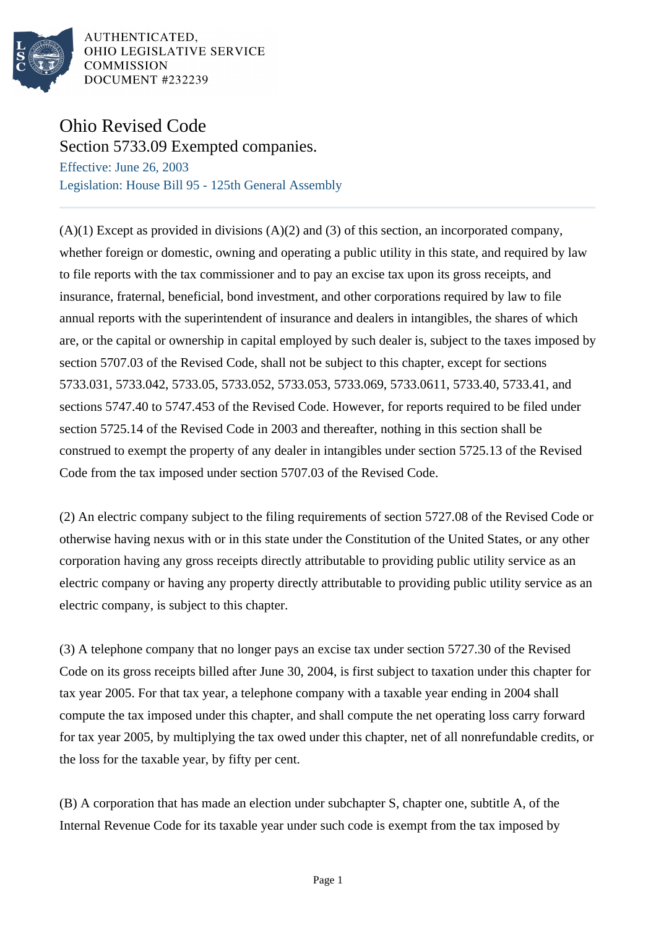

AUTHENTICATED, OHIO LEGISLATIVE SERVICE **COMMISSION** DOCUMENT #232239

## Ohio Revised Code

Section 5733.09 Exempted companies.

Effective: June 26, 2003 Legislation: House Bill 95 - 125th General Assembly

 $(A)(1)$  Except as provided in divisions  $(A)(2)$  and  $(3)$  of this section, an incorporated company, whether foreign or domestic, owning and operating a public utility in this state, and required by law to file reports with the tax commissioner and to pay an excise tax upon its gross receipts, and insurance, fraternal, beneficial, bond investment, and other corporations required by law to file annual reports with the superintendent of insurance and dealers in intangibles, the shares of which are, or the capital or ownership in capital employed by such dealer is, subject to the taxes imposed by section 5707.03 of the Revised Code, shall not be subject to this chapter, except for sections 5733.031, 5733.042, 5733.05, 5733.052, 5733.053, 5733.069, 5733.0611, 5733.40, 5733.41, and sections 5747.40 to 5747.453 of the Revised Code. However, for reports required to be filed under section 5725.14 of the Revised Code in 2003 and thereafter, nothing in this section shall be construed to exempt the property of any dealer in intangibles under section 5725.13 of the Revised Code from the tax imposed under section 5707.03 of the Revised Code.

(2) An electric company subject to the filing requirements of section 5727.08 of the Revised Code or otherwise having nexus with or in this state under the Constitution of the United States, or any other corporation having any gross receipts directly attributable to providing public utility service as an electric company or having any property directly attributable to providing public utility service as an electric company, is subject to this chapter.

(3) A telephone company that no longer pays an excise tax under section 5727.30 of the Revised Code on its gross receipts billed after June 30, 2004, is first subject to taxation under this chapter for tax year 2005. For that tax year, a telephone company with a taxable year ending in 2004 shall compute the tax imposed under this chapter, and shall compute the net operating loss carry forward for tax year 2005, by multiplying the tax owed under this chapter, net of all nonrefundable credits, or the loss for the taxable year, by fifty per cent.

(B) A corporation that has made an election under subchapter S, chapter one, subtitle A, of the Internal Revenue Code for its taxable year under such code is exempt from the tax imposed by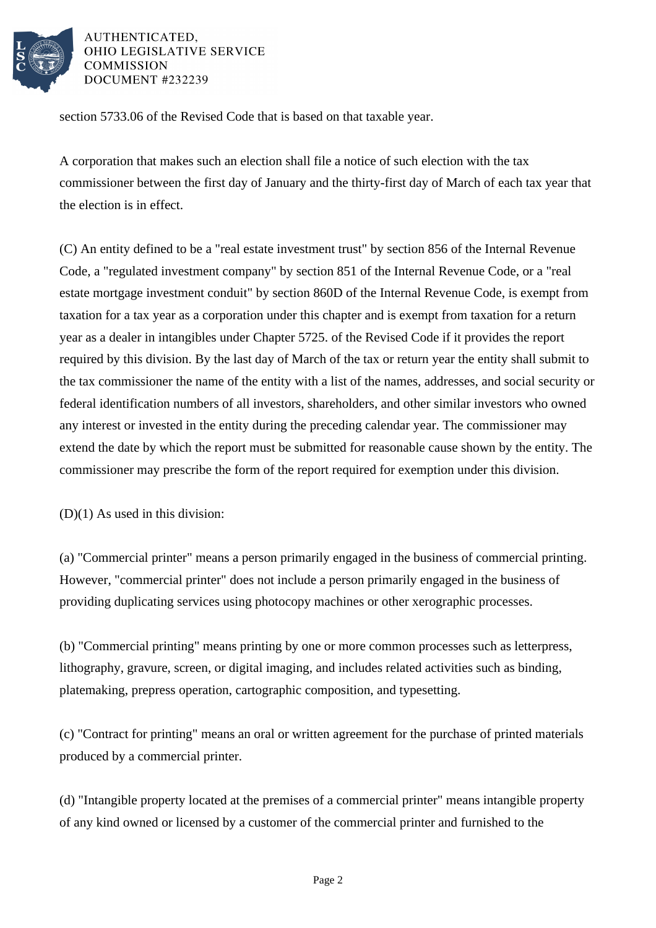

## AUTHENTICATED. OHIO LEGISLATIVE SERVICE **COMMISSION** DOCUMENT #232239

section 5733.06 of the Revised Code that is based on that taxable year.

A corporation that makes such an election shall file a notice of such election with the tax commissioner between the first day of January and the thirty-first day of March of each tax year that the election is in effect.

(C) An entity defined to be a "real estate investment trust" by section 856 of the Internal Revenue Code, a "regulated investment company" by section 851 of the Internal Revenue Code, or a "real estate mortgage investment conduit" by section 860D of the Internal Revenue Code, is exempt from taxation for a tax year as a corporation under this chapter and is exempt from taxation for a return year as a dealer in intangibles under Chapter 5725. of the Revised Code if it provides the report required by this division. By the last day of March of the tax or return year the entity shall submit to the tax commissioner the name of the entity with a list of the names, addresses, and social security or federal identification numbers of all investors, shareholders, and other similar investors who owned any interest or invested in the entity during the preceding calendar year. The commissioner may extend the date by which the report must be submitted for reasonable cause shown by the entity. The commissioner may prescribe the form of the report required for exemption under this division.

(D)(1) As used in this division:

(a) "Commercial printer" means a person primarily engaged in the business of commercial printing. However, "commercial printer" does not include a person primarily engaged in the business of providing duplicating services using photocopy machines or other xerographic processes.

(b) "Commercial printing" means printing by one or more common processes such as letterpress, lithography, gravure, screen, or digital imaging, and includes related activities such as binding, platemaking, prepress operation, cartographic composition, and typesetting.

(c) "Contract for printing" means an oral or written agreement for the purchase of printed materials produced by a commercial printer.

(d) "Intangible property located at the premises of a commercial printer" means intangible property of any kind owned or licensed by a customer of the commercial printer and furnished to the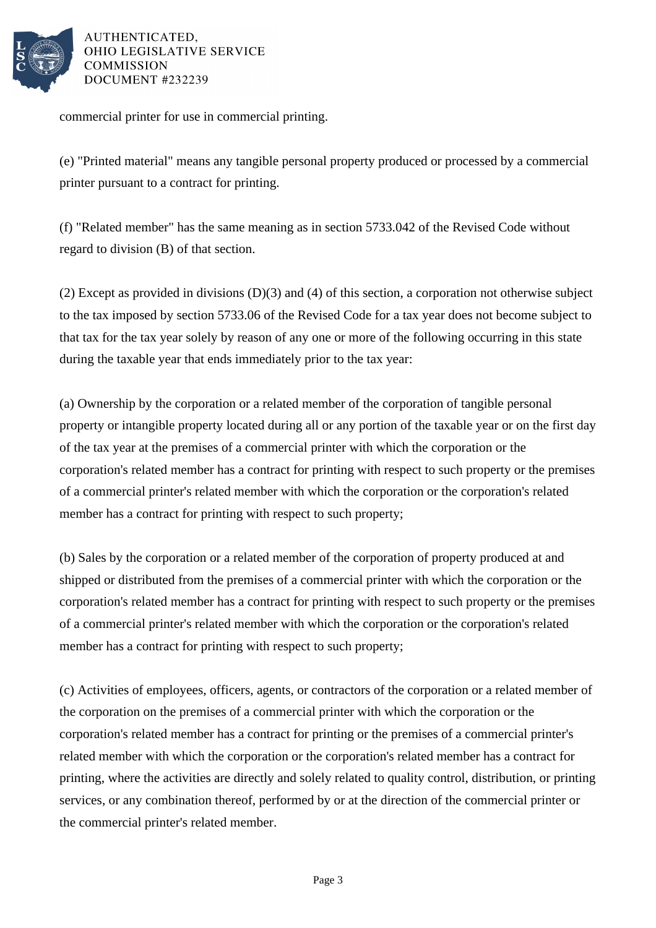

AUTHENTICATED. **OHIO LEGISLATIVE SERVICE COMMISSION** DOCUMENT #232239

commercial printer for use in commercial printing.

(e) "Printed material" means any tangible personal property produced or processed by a commercial printer pursuant to a contract for printing.

(f) "Related member" has the same meaning as in section 5733.042 of the Revised Code without regard to division (B) of that section.

(2) Except as provided in divisions (D)(3) and (4) of this section, a corporation not otherwise subject to the tax imposed by section 5733.06 of the Revised Code for a tax year does not become subject to that tax for the tax year solely by reason of any one or more of the following occurring in this state during the taxable year that ends immediately prior to the tax year:

(a) Ownership by the corporation or a related member of the corporation of tangible personal property or intangible property located during all or any portion of the taxable year or on the first day of the tax year at the premises of a commercial printer with which the corporation or the corporation's related member has a contract for printing with respect to such property or the premises of a commercial printer's related member with which the corporation or the corporation's related member has a contract for printing with respect to such property;

(b) Sales by the corporation or a related member of the corporation of property produced at and shipped or distributed from the premises of a commercial printer with which the corporation or the corporation's related member has a contract for printing with respect to such property or the premises of a commercial printer's related member with which the corporation or the corporation's related member has a contract for printing with respect to such property;

(c) Activities of employees, officers, agents, or contractors of the corporation or a related member of the corporation on the premises of a commercial printer with which the corporation or the corporation's related member has a contract for printing or the premises of a commercial printer's related member with which the corporation or the corporation's related member has a contract for printing, where the activities are directly and solely related to quality control, distribution, or printing services, or any combination thereof, performed by or at the direction of the commercial printer or the commercial printer's related member.